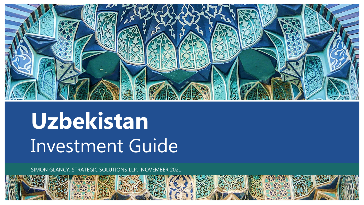

# **Uzbekistan** Investment Guide

SIMON GLANCY. STRATEGIC SOLUTIONS LLP. NOVEMBER 2021

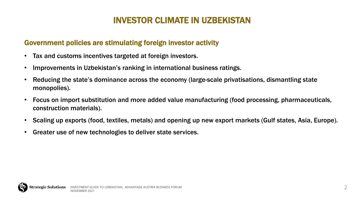## INVESTOR CLIMATE IN UZBEKISTAN

### Government policies are stimulating foreign investor activity

- Tax and customs incentives targeted at foreign investors.
- Improvements in Uzbekistan's ranking in international business ratings.
- Reducing the state's dominance across the economy (large-scale privatisations, dismantling state monopolies).
- Focus on import substitution and more added value manufacturing (food processing, pharmaceuticals, construction materials).
- Scaling up exports (food, textiles, metals) and opening up new export markets (Gulf states, Asia, Europe).
- Greater use of new technologies to deliver state services.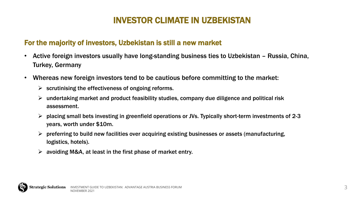## INVESTOR CLIMATE IN UZBEKISTAN

#### For the majority of investors, Uzbekistan is still a new market

- Active foreign investors usually have long-standing business ties to Uzbekistan Russia, China, Turkey, Germany
- Whereas new foreign investors tend to be cautious before committing to the market:
	- $\triangleright$  scrutinising the effectiveness of ongoing reforms.
	- $\triangleright$  undertaking market and product feasibility studies, company due diligence and political risk assessment.
	- $\triangleright$  placing small bets investing in greenfield operations or JVs. Typically short-term investments of 2-3 years, worth under \$10m.
	- $\triangleright$  preferring to build new facilities over acquiring existing businesses or assets (manufacturing, logistics, hotels).
	- $\triangleright$  avoiding M&A, at least in the first phase of market entry.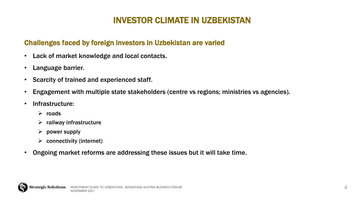## INVESTOR CLIMATE IN UZBEKISTAN

#### Challenges faced by foreign investors in Uzbekistan are varied

- Lack of market knowledge and local contacts.
- Language barrier.
- Scarcity of trained and experienced staff.
- Engagement with multiple state stakeholders (centre vs regions; ministries vs agencies).
- Infrastructure:
	- $\triangleright$  roads
	- $\triangleright$  railway infrastructure
	- $\triangleright$  power supply
	- $\triangleright$  connectivity (internet)
- Ongoing market reforms are addressing these issues but it will take time.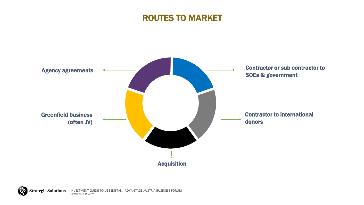## ROUTES TO MARKET

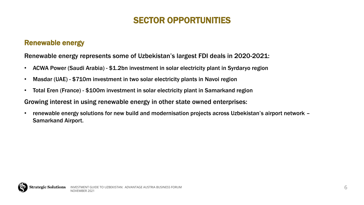#### Renewable energy

Renewable energy represents some of Uzbekistan's largest FDI deals in 2020-2021:

- ACWA Power (Saudi Arabia) \$1.2bn investment in solar electricity plant in Syrdaryo region
- Masdar (UAE) \$710m investment in two solar electricity plants in Navoi region
- Total Eren (France) \$100m investment in solar electricity plant in Samarkand region

Growing interest in using renewable energy in other state owned enterprises:

• renewable energy solutions for new build and modernisation projects across Uzbekistan's airport network -Samarkand Airport.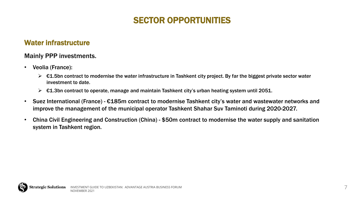#### Water infrastructure

#### Mainly PPP investments.

- Veolia (France):
	- $\triangleright$   $\epsilon$ 1.5bn contract to modernise the water infrastructure in Tashkent city project. By far the biggest private sector water investment to date.
	- $\triangleright$   $\in$  1.3bn contract to operate, manage and maintain Tashkent city's urban heating system until 2051.
- Suez International (France) €185m contract to modernise Tashkent city's water and wastewater networks and improve the management of the municipal operator Tashkent Shahar Suv Taminoti during 2020-2027.
- China Civil Engineering and Construction (China) \$50m contract to modernise the water supply and sanitation system in Tashkent region.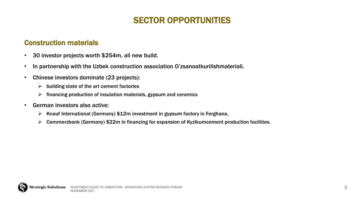### Construction materials

- 30 investor projects worth \$254m, all new build.
- In partnership with the Uzbek construction association O'zsanoatkurilishmateriali.
- Chinese investors dominate (23 projects):
	- $\triangleright$  building state of the art cement factories
	- $\triangleright$  financing production of insulation materials, gypsum and ceramics
- German investors also active:
	- $\triangleright$  Knauf International (Germany) \$12m investment in gypsum factory in Ferghana,
	- Commerzbank (Germany) \$22m in financing for expansion of Kyzlkumcement production facilities.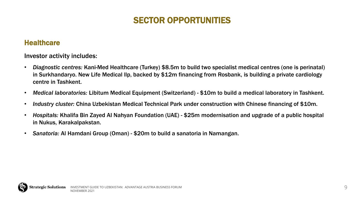#### **Healthcare**

Investor activity includes:

- *Diagnostic centres:* Kani-Med Healthcare (Turkey) \$8.5m to build two specialist medical centres (one is perinatal) in Surkhandaryo. New Life Medical llp, backed by \$12m financing from Rosbank, is building a private cardiology centre in Tashkent.
- *Medical laboratories:* Libitum Medical Equipment (Switzerland) \$10m to build a medical laboratory in Tashkent.
- *Industry cluster:* China Uzbekistan Medical Technical Park under construction with Chinese financing of \$10m.
- *Hospitals:* Khalifa Bin Zayed AI Nahyan Foundation (UAE) \$25m modernisation and upgrade of a public hospital in Nukus, Karakalpakstan.
- *Sanatoria:* Al Hamdani Group (Oman) \$20m to build a sanatoria in Namangan.